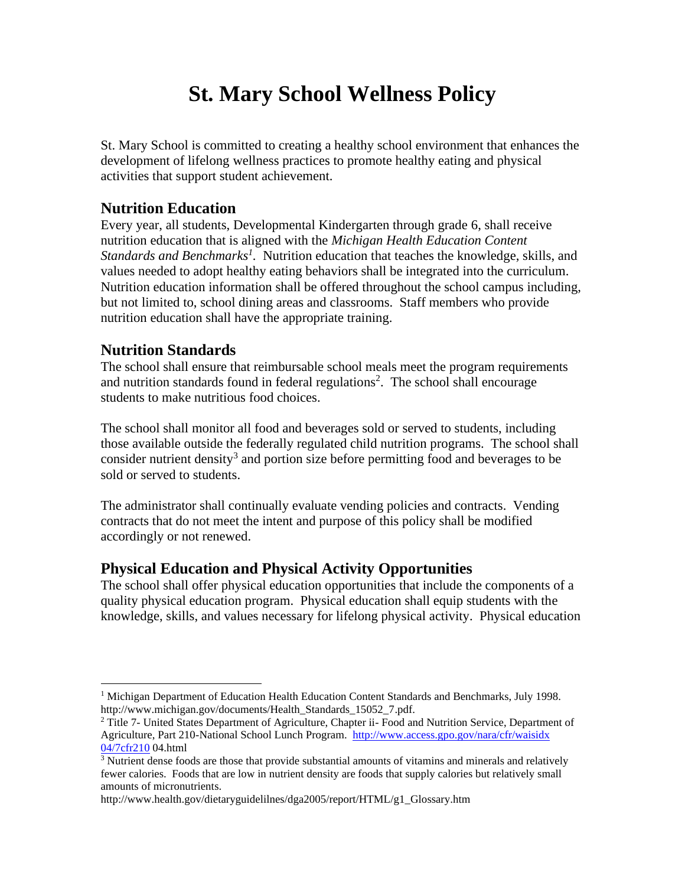# **St. Mary School Wellness Policy**

St. Mary School is committed to creating a healthy school environment that enhances the development of lifelong wellness practices to promote healthy eating and physical activities that support student achievement.

# **Nutrition Education**

Every year, all students, Developmental Kindergarten through grade 6, shall receive nutrition education that is aligned with the *Michigan Health Education Content Standards and Benchmarks<sup>1</sup>*. Nutrition education that teaches the knowledge, skills, and values needed to adopt healthy eating behaviors shall be integrated into the curriculum. Nutrition education information shall be offered throughout the school campus including, but not limited to, school dining areas and classrooms. Staff members who provide nutrition education shall have the appropriate training.

# **Nutrition Standards**

The school shall ensure that reimbursable school meals meet the program requirements and nutrition standards found in federal regulations<sup>2</sup>. The school shall encourage students to make nutritious food choices.

The school shall monitor all food and beverages sold or served to students, including those available outside the federally regulated child nutrition programs. The school shall consider nutrient density<sup>3</sup> and portion size before permitting food and beverages to be sold or served to students.

The administrator shall continually evaluate vending policies and contracts. Vending contracts that do not meet the intent and purpose of this policy shall be modified accordingly or not renewed.

# **Physical Education and Physical Activity Opportunities**

The school shall offer physical education opportunities that include the components of a quality physical education program. Physical education shall equip students with the knowledge, skills, and values necessary for lifelong physical activity. Physical education

http://www.health.gov/dietaryguidelilnes/dga2005/report/HTML/g1\_Glossary.htm

<sup>&</sup>lt;sup>1</sup> Michigan Department of Education Health Education Content Standards and Benchmarks, July 1998. http://www.michigan.gov/documents/Health\_Standards\_15052\_7.pdf.

 $2$  Title 7- United States Department of Agriculture, Chapter ii- Food and Nutrition Service, Department of Agriculture, Part 210-National School Lunch Program. [http://www.access.gpo.gov/nara/cfr/waisidx](http://www.access.gpo.gov/nara/cfr/waisidx%2004/7cfr210)  [04/7cfr210](http://www.access.gpo.gov/nara/cfr/waisidx%2004/7cfr210) 04.html

<sup>&</sup>lt;sup>3</sup> Nutrient dense foods are those that provide substantial amounts of vitamins and minerals and relatively fewer calories. Foods that are low in nutrient density are foods that supply calories but relatively small amounts of micronutrients.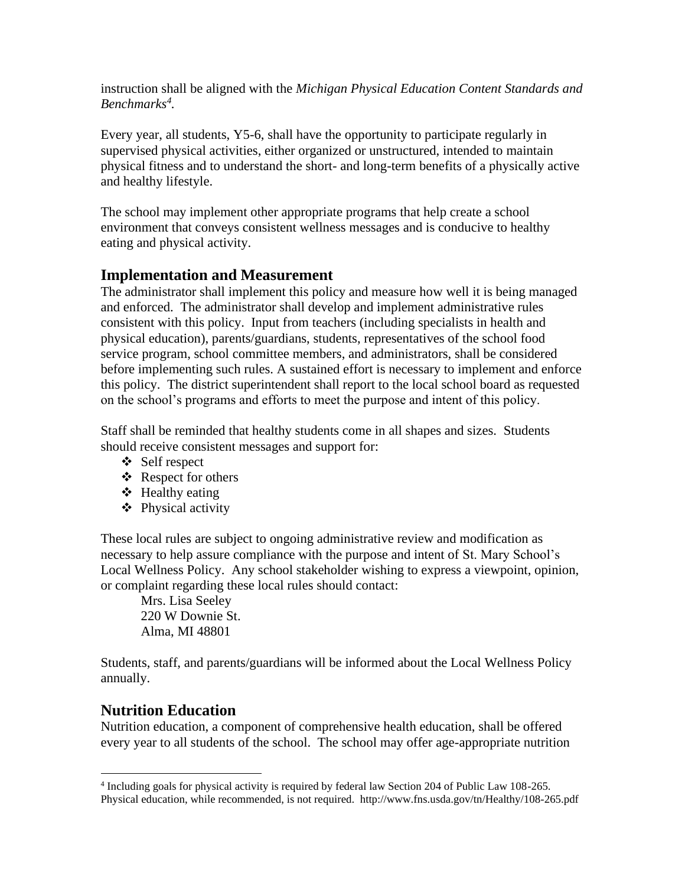instruction shall be aligned with the *Michigan Physical Education Content Standards and Benchmarks<sup>4</sup> .*

Every year, all students, Y5-6, shall have the opportunity to participate regularly in supervised physical activities, either organized or unstructured, intended to maintain physical fitness and to understand the short- and long-term benefits of a physically active and healthy lifestyle.

The school may implement other appropriate programs that help create a school environment that conveys consistent wellness messages and is conducive to healthy eating and physical activity.

# **Implementation and Measurement**

The administrator shall implement this policy and measure how well it is being managed and enforced. The administrator shall develop and implement administrative rules consistent with this policy. Input from teachers (including specialists in health and physical education), parents/guardians, students, representatives of the school food service program, school committee members, and administrators, shall be considered before implementing such rules. A sustained effort is necessary to implement and enforce this policy. The district superintendent shall report to the local school board as requested on the school's programs and efforts to meet the purpose and intent of this policy.

Staff shall be reminded that healthy students come in all shapes and sizes. Students should receive consistent messages and support for:

- ❖ Self respect
- ❖ Respect for others
- ❖ Healthy eating
- ❖ Physical activity

These local rules are subject to ongoing administrative review and modification as necessary to help assure compliance with the purpose and intent of St. Mary School's Local Wellness Policy. Any school stakeholder wishing to express a viewpoint, opinion, or complaint regarding these local rules should contact:

Mrs. Lisa Seeley 220 W Downie St. Alma, MI 48801

Students, staff, and parents/guardians will be informed about the Local Wellness Policy annually.

# **Nutrition Education**

Nutrition education, a component of comprehensive health education, shall be offered every year to all students of the school. The school may offer age-appropriate nutrition

<sup>4</sup> Including goals for physical activity is required by federal law Section 204 of Public Law 108-265. Physical education, while recommended, is not required. http://www.fns.usda.gov/tn/Healthy/108-265.pdf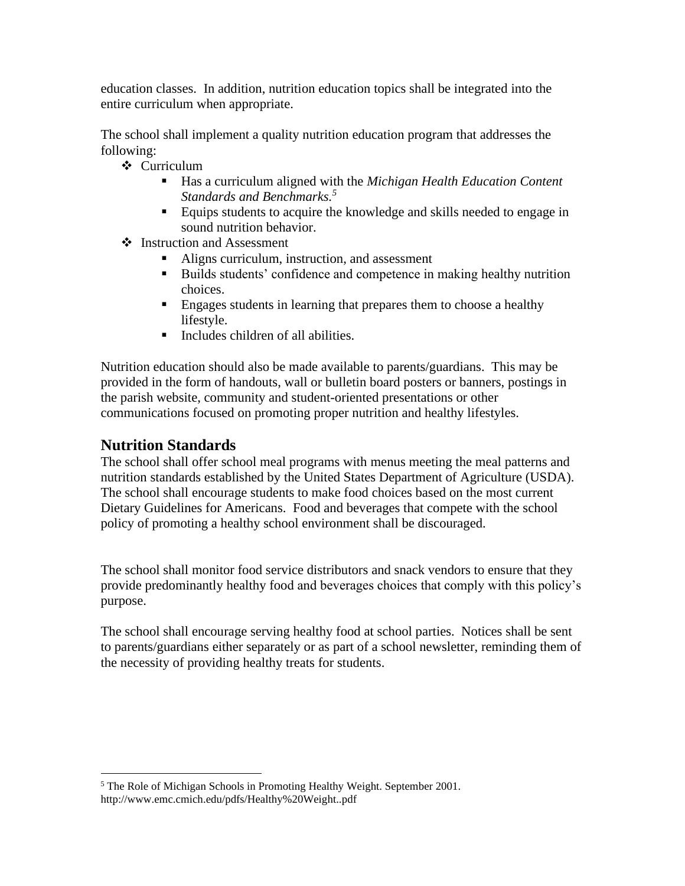education classes. In addition, nutrition education topics shall be integrated into the entire curriculum when appropriate.

The school shall implement a quality nutrition education program that addresses the following:

- ❖ Curriculum
	- Has a curriculum aligned with the *Michigan Health Education Content Standards and Benchmarks.<sup>5</sup>*
	- Equips students to acquire the knowledge and skills needed to engage in sound nutrition behavior.
- ❖ Instruction and Assessment
	- Aligns curriculum, instruction, and assessment
	- Builds students' confidence and competence in making healthy nutrition choices.
	- **Engages students in learning that prepares them to choose a healthy** lifestyle.
	- Includes children of all abilities.

Nutrition education should also be made available to parents/guardians. This may be provided in the form of handouts, wall or bulletin board posters or banners, postings in the parish website, community and student-oriented presentations or other communications focused on promoting proper nutrition and healthy lifestyles.

# **Nutrition Standards**

The school shall offer school meal programs with menus meeting the meal patterns and nutrition standards established by the United States Department of Agriculture (USDA). The school shall encourage students to make food choices based on the most current Dietary Guidelines for Americans. Food and beverages that compete with the school policy of promoting a healthy school environment shall be discouraged.

The school shall monitor food service distributors and snack vendors to ensure that they provide predominantly healthy food and beverages choices that comply with this policy's purpose.

The school shall encourage serving healthy food at school parties. Notices shall be sent to parents/guardians either separately or as part of a school newsletter, reminding them of the necessity of providing healthy treats for students.

<sup>&</sup>lt;sup>5</sup> The Role of Michigan Schools in Promoting Healthy Weight. September 2001. http://www.emc.cmich.edu/pdfs/Healthy%20Weight..pdf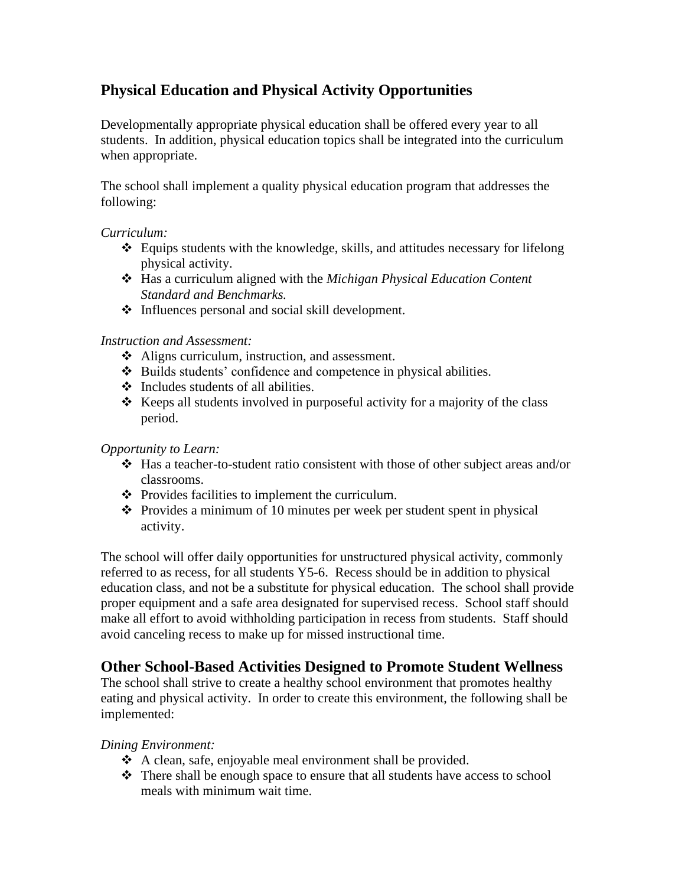# **Physical Education and Physical Activity Opportunities**

Developmentally appropriate physical education shall be offered every year to all students. In addition, physical education topics shall be integrated into the curriculum when appropriate.

The school shall implement a quality physical education program that addresses the following:

#### *Curriculum:*

- ❖ Equips students with the knowledge, skills, and attitudes necessary for lifelong physical activity.
- ❖ Has a curriculum aligned with the *Michigan Physical Education Content Standard and Benchmarks.*
- ❖ Influences personal and social skill development.

#### *Instruction and Assessment:*

- ❖ Aligns curriculum, instruction, and assessment.
- ❖ Builds students' confidence and competence in physical abilities.
- ❖ Includes students of all abilities.
- ❖ Keeps all students involved in purposeful activity for a majority of the class period.

#### *Opportunity to Learn:*

- ❖ Has a teacher-to-student ratio consistent with those of other subject areas and/or classrooms.
- ❖ Provides facilities to implement the curriculum.
- ❖ Provides a minimum of 10 minutes per week per student spent in physical activity.

The school will offer daily opportunities for unstructured physical activity, commonly referred to as recess, for all students Y5-6. Recess should be in addition to physical education class, and not be a substitute for physical education. The school shall provide proper equipment and a safe area designated for supervised recess. School staff should make all effort to avoid withholding participation in recess from students. Staff should avoid canceling recess to make up for missed instructional time.

# **Other School-Based Activities Designed to Promote Student Wellness**

The school shall strive to create a healthy school environment that promotes healthy eating and physical activity. In order to create this environment, the following shall be implemented:

#### *Dining Environment:*

- ❖ A clean, safe, enjoyable meal environment shall be provided.
- ❖ There shall be enough space to ensure that all students have access to school meals with minimum wait time.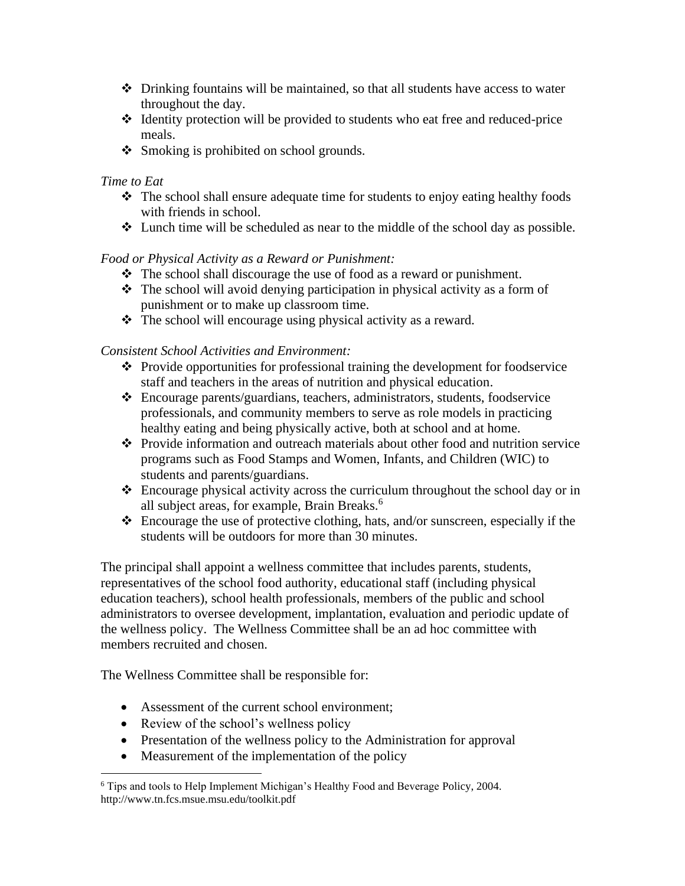- ❖ Drinking fountains will be maintained, so that all students have access to water throughout the day.
- ❖ Identity protection will be provided to students who eat free and reduced-price meals.
- ❖ Smoking is prohibited on school grounds.

#### *Time to Eat*

- ❖ The school shall ensure adequate time for students to enjoy eating healthy foods with friends in school.
- ❖ Lunch time will be scheduled as near to the middle of the school day as possible.

#### *Food or Physical Activity as a Reward or Punishment:*

- ❖ The school shall discourage the use of food as a reward or punishment.
- ❖ The school will avoid denying participation in physical activity as a form of punishment or to make up classroom time.
- ❖ The school will encourage using physical activity as a reward.

#### *Consistent School Activities and Environment:*

- ❖ Provide opportunities for professional training the development for foodservice staff and teachers in the areas of nutrition and physical education.
- ❖ Encourage parents/guardians, teachers, administrators, students, foodservice professionals, and community members to serve as role models in practicing healthy eating and being physically active, both at school and at home.
- ❖ Provide information and outreach materials about other food and nutrition service programs such as Food Stamps and Women, Infants, and Children (WIC) to students and parents/guardians.
- ❖ Encourage physical activity across the curriculum throughout the school day or in all subject areas, for example, Brain Breaks.<sup>6</sup>
- ❖ Encourage the use of protective clothing, hats, and/or sunscreen, especially if the students will be outdoors for more than 30 minutes.

The principal shall appoint a wellness committee that includes parents, students, representatives of the school food authority, educational staff (including physical education teachers), school health professionals, members of the public and school administrators to oversee development, implantation, evaluation and periodic update of the wellness policy. The Wellness Committee shall be an ad hoc committee with members recruited and chosen.

The Wellness Committee shall be responsible for:

- Assessment of the current school environment;
- Review of the school's wellness policy
- Presentation of the wellness policy to the Administration for approval
- Measurement of the implementation of the policy

<sup>6</sup> Tips and tools to Help Implement Michigan's Healthy Food and Beverage Policy, 2004. http://www.tn.fcs.msue.msu.edu/toolkit.pdf